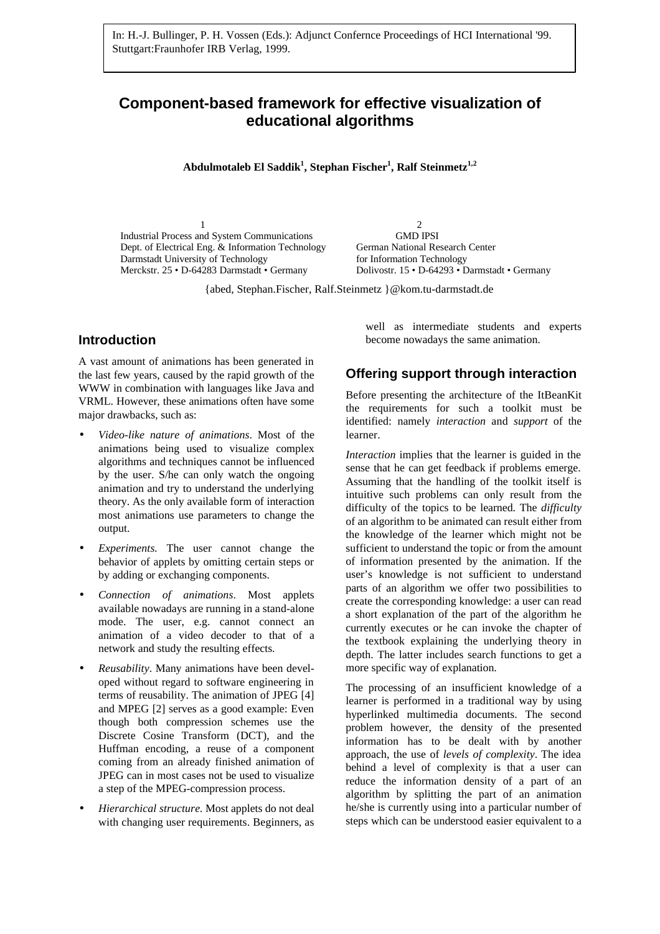# **Component-based framework for effective visualization of educational algorithms**

**Abdulmotaleb El Saddik<sup>1</sup> , Stephan Fischer<sup>1</sup> , Ralf Steinmetz1,2**

1 2 Industrial Process and System Communications GMD IPSI Dept. of Electrical Eng. & Information Technology German National Research Center Darmstadt University of Technology for Information Technology Merckstr. 25 • D-64283 Darmstadt • Germany Dolivostr. 15 • D-64293 • Darmstadt • Germany

{abed, Stephan.Fischer, Ralf.Steinmetz }@kom.tu-darmstadt.de

### **Introduction**

A vast amount of animations has been generated in the last few years, caused by the rapid growth of the WWW in combination with languages like Java and VRML. However, these animations often have some major drawbacks, such as:

- *Video-like nature of animations*. Most of the animations being used to visualize complex algorithms and techniques cannot be influenced by the user. S/he can only watch the ongoing animation and try to understand the underlying theory. As the only available form of interaction most animations use parameters to change the output.
- *Experiments.* The user cannot change the behavior of applets by omitting certain steps or by adding or exchanging components.
- *Connection of animations*. Most applets available nowadays are running in a stand-alone mode. The user, e.g. cannot connect an animation of a video decoder to that of a network and study the resulting effects.
- *Reusability*. Many animations have been developed without regard to software engineering in terms of reusability. The animation of JPEG [4] and MPEG [2] serves as a good example: Even though both compression schemes use the Discrete Cosine Transform (DCT), and the Huffman encoding, a reuse of a component coming from an already finished animation of JPEG can in most cases not be used to visualize a step of the MPEG-compression process.
- *Hierarchical structure.* Most applets do not deal with changing user requirements. Beginners, as

well as intermediate students and experts become nowadays the same animation.

#### **Offering support through interaction**

Before presenting the architecture of the ItBeanKit the requirements for such a toolkit must be identified: namely *interaction* and *support* of the learner.

*Interaction* implies that the learner is guided in the sense that he can get feedback if problems emerge. Assuming that the handling of the toolkit itself is intuitive such problems can only result from the difficulty of the topics to be learned. The *difficulty* of an algorithm to be animated can result either from the knowledge of the learner which might not be sufficient to understand the topic or from the amount of information presented by the animation. If the user's knowledge is not sufficient to understand parts of an algorithm we offer two possibilities to create the corresponding knowledge: a user can read a short explanation of the part of the algorithm he currently executes or he can invoke the chapter of the textbook explaining the underlying theory in depth. The latter includes search functions to get a more specific way of explanation.

The processing of an insufficient knowledge of a learner is performed in a traditional way by using hyperlinked multimedia documents. The second problem however, the density of the presented information has to be dealt with by another approach, the use of *levels of complexity*. The idea behind a level of complexity is that a user can reduce the information density of a part of an algorithm by splitting the part of an animation he/she is currently using into a particular number of steps which can be understood easier equivalent to a